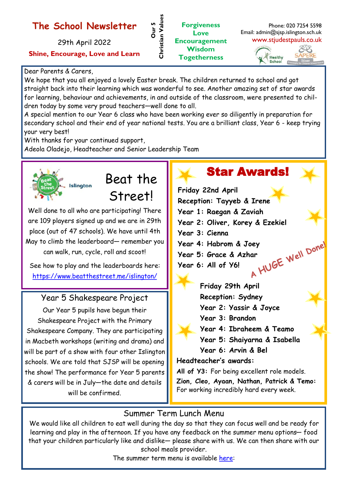### **The School Newsletter**

29th April 2022

#### **Shine, Encourage, Love and Learn**

#### Dear Parents & Carers,

We hope that you all enjoyed a lovely Easter break. The children returned to school and got straight back into their learning which was wonderful to see. Another amazing set of star awards for learning, behaviour and achievements, in and outside of the classroom, were presented to children today by some very proud teachers—well done to all.

**Our 5** 

**Christian Values**

Christian Values

**Forgiveness Love Encouragement Wisdom Togetherness**

A special mention to our Year 6 class who have been working ever so diligently in preparation for secondary school and their end of year national tests. You are a brilliant class, Year 6 - keep trying your very best!

With thanks for your continued support,

Adeola Oladejo, Headteacher and Senior Leadership Team



# Beat the

Street!

Well done to all who are participating! There are 109 players signed up and we are in 29th place (out of 47 schools). We have until 4th May to climb the leaderboard— remember you can walk, run, cycle, roll and scoot!

See how to play and the leaderboards here: <https://www.beatthestreet.me/islington/>

### Year 5 Shakespeare Project

Our Year 5 pupils have begun their Shakespeare Project with the Primary Shakespeare Company. They are participating in Macbeth workshops (writing and drama) and will be part of a show with four other Islington schools. We are told that SJSP will be opening the show! The performance for Year 5 parents & carers will be in July—the date and details will be confirmed.

# Star Awards!

Phone: 020 7254 5598

EB SAPERE

Email: admin@sjsp.islington.sch.uk www.stjudestpauls.co.uk

> Healthy School

**Friday 22nd April Reception: Tayyeb & Irene Year 1: Raegan & Zaviah Year 2: Oliver, Korey & Ezekiel Year 3: Cienna Year 4: Habrom & Joey<br>Year 5: Grace & Azhar<br>Year 6: All of Y6! Year 5: Grace & Azhar Year 6: All of Y6!**

**Friday 29th April Reception: Sydney Year 2: Yassir & Joyce Year 3: Brandon Year 4: Ibraheem & Teamo Year 5: Shaiyarna & Isabella Year 6: Arvin & Bel**

**Headteacher's awards:**

**All of Y3:** For being excellent role models. **Zion, Cleo, Ayaan, Nathan, Patrick & Temo:**  For working incredibly hard every week.

### Summer Term Lunch Menu

We would like all children to eat well during the day so that they can focus well and be ready for learning and play in the afternoon. If you have any feedback on the summer menu options— food that your children particularly like and dislike— please share with us. We can then share with our school meals provider.

The summer term menu is available [here:](https://www.stjudestpauls.co.uk/attachments/download.asp?file=961&type=pdf)